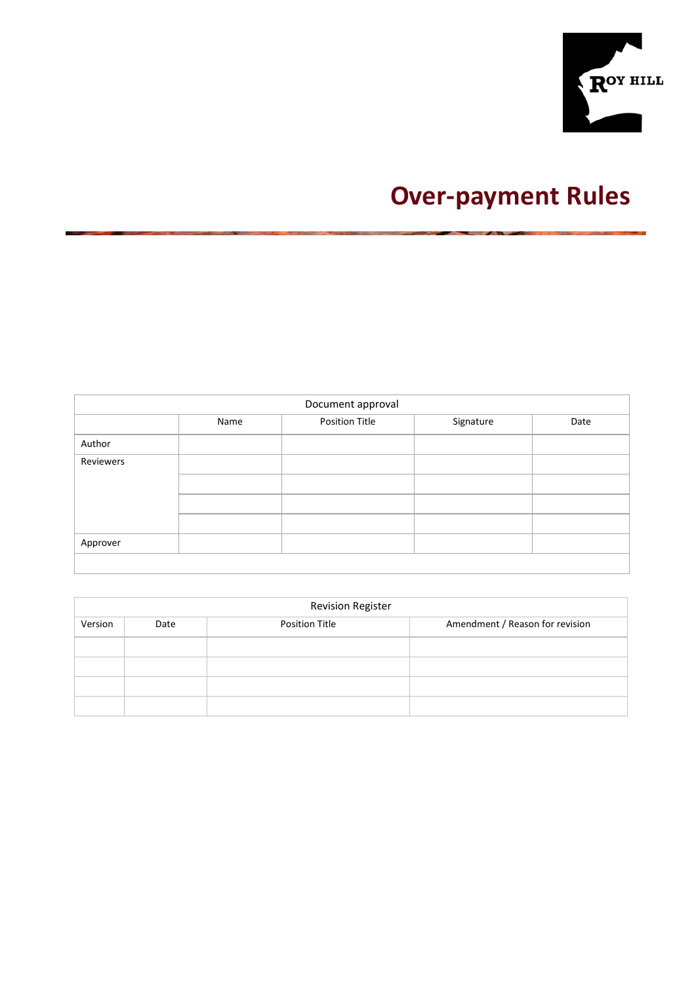

# **Over-payment Rules**

| Document approval |      |                |           |      |  |  |  |  |  |
|-------------------|------|----------------|-----------|------|--|--|--|--|--|
|                   | Name | Position Title | Signature | Date |  |  |  |  |  |
| Author            |      |                |           |      |  |  |  |  |  |
| Reviewers         |      |                |           |      |  |  |  |  |  |
|                   |      |                |           |      |  |  |  |  |  |
|                   |      |                |           |      |  |  |  |  |  |
|                   |      |                |           |      |  |  |  |  |  |
| Approver          |      |                |           |      |  |  |  |  |  |
|                   |      |                |           |      |  |  |  |  |  |

|         | <b>Revision Register</b> |                       |                                 |  |  |  |  |  |  |  |
|---------|--------------------------|-----------------------|---------------------------------|--|--|--|--|--|--|--|
| Version | Date                     | <b>Position Title</b> | Amendment / Reason for revision |  |  |  |  |  |  |  |
|         |                          |                       |                                 |  |  |  |  |  |  |  |
|         |                          |                       |                                 |  |  |  |  |  |  |  |
|         |                          |                       |                                 |  |  |  |  |  |  |  |
|         |                          |                       |                                 |  |  |  |  |  |  |  |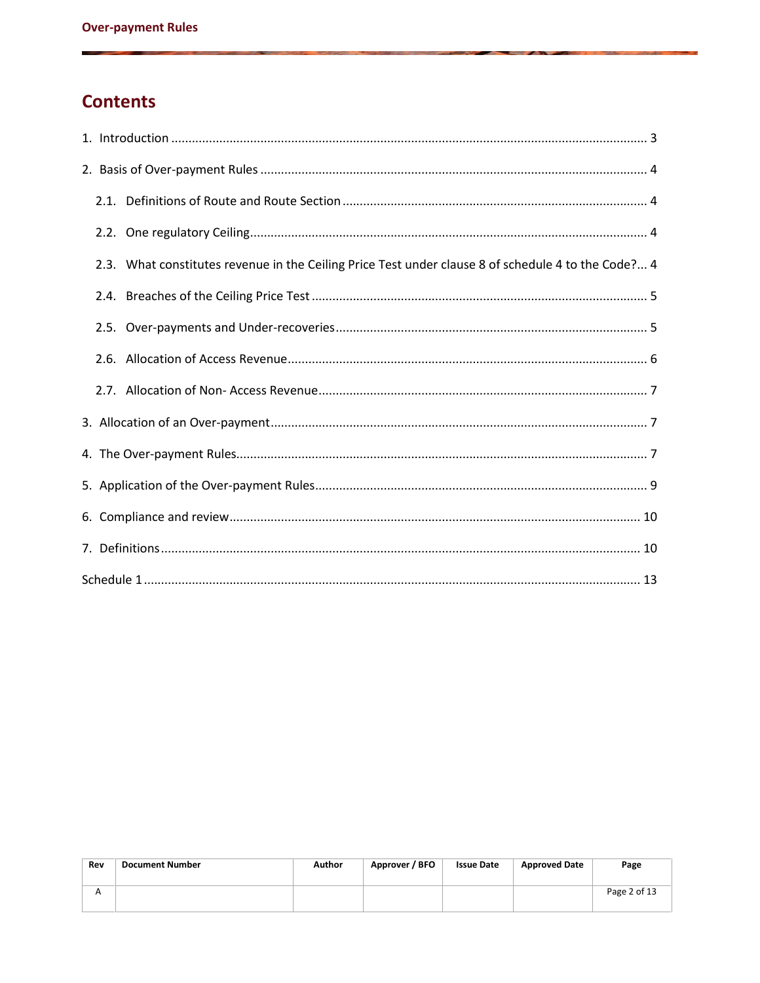# **Contents**

|  | 2.3. What constitutes revenue in the Ceiling Price Test under clause 8 of schedule 4 to the Code? 4 |
|--|-----------------------------------------------------------------------------------------------------|
|  |                                                                                                     |
|  |                                                                                                     |
|  |                                                                                                     |
|  |                                                                                                     |
|  |                                                                                                     |
|  |                                                                                                     |
|  |                                                                                                     |
|  |                                                                                                     |
|  |                                                                                                     |
|  |                                                                                                     |

| Rev | <b>Document Number</b> | Author | Approver / BFO | <b>Issue Date</b> | <b>Approved Date</b> | Page         |
|-----|------------------------|--------|----------------|-------------------|----------------------|--------------|
|     |                        |        |                |                   |                      | Page 2 of 13 |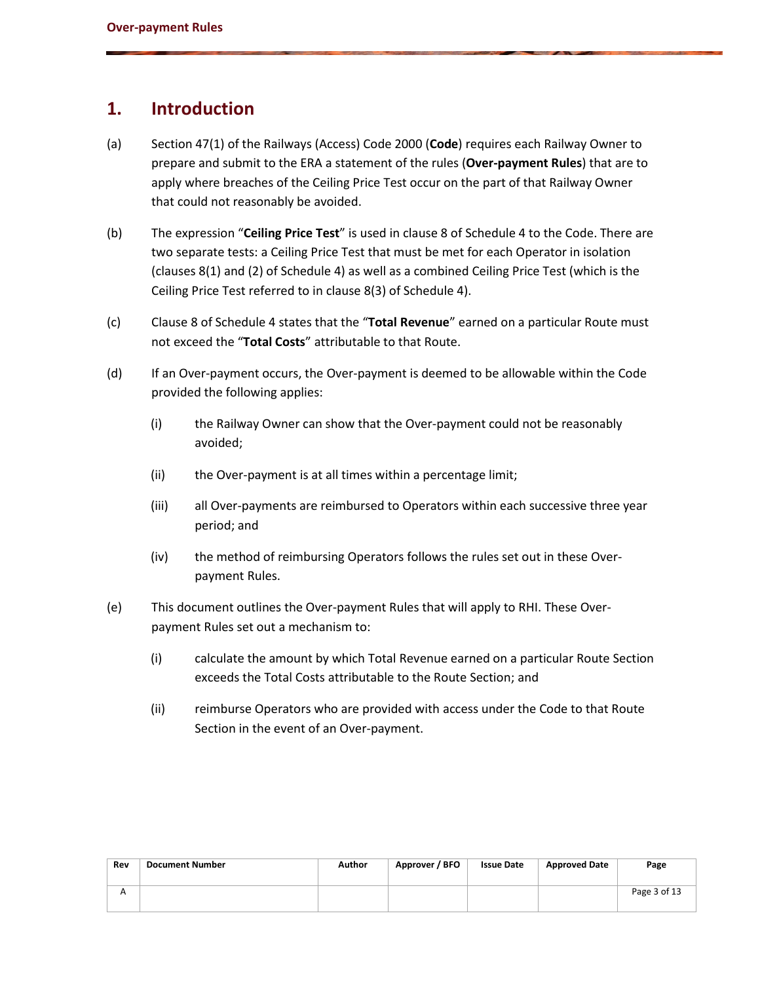## **1. Introduction**

- (a) Section 47(1) of the Railways (Access) Code 2000 (**Code**) requires each Railway Owner to prepare and submit to the ERA a statement of the rules (**Over-payment Rules**) that are to apply where breaches of the Ceiling Price Test occur on the part of that Railway Owner that could not reasonably be avoided.
- (b) The expression "**Ceiling Price Test**" is used in clause 8 of Schedule 4 to the Code. There are two separate tests: a Ceiling Price Test that must be met for each Operator in isolation (clauses 8(1) and (2) of Schedule 4) as well as a combined Ceiling Price Test (which is the Ceiling Price Test referred to in clause 8(3) of Schedule 4).
- (c) Clause 8 of Schedule 4 states that the "**Total Revenue**" earned on a particular Route must not exceed the "**Total Costs**" attributable to that Route.
- (d) If an Over-payment occurs, the Over-payment is deemed to be allowable within the Code provided the following applies:
	- (i) the Railway Owner can show that the Over-payment could not be reasonably avoided;
	- (ii) the Over-payment is at all times within a percentage limit;
	- (iii) all Over-payments are reimbursed to Operators within each successive three year period; and
	- (iv) the method of reimbursing Operators follows the rules set out in these Overpayment Rules.
- (e) This document outlines the Over-payment Rules that will apply to RHI. These Overpayment Rules set out a mechanism to:
	- (i) calculate the amount by which Total Revenue earned on a particular Route Section exceeds the Total Costs attributable to the Route Section; and
	- (ii) reimburse Operators who are provided with access under the Code to that Route Section in the event of an Over-payment.

| Rev | <b>Document Number</b> | Author | Approver / BFO | <b>Issue Date</b> | <b>Approved Date</b> | Page         |
|-----|------------------------|--------|----------------|-------------------|----------------------|--------------|
|     |                        |        |                |                   |                      | Page 3 of 13 |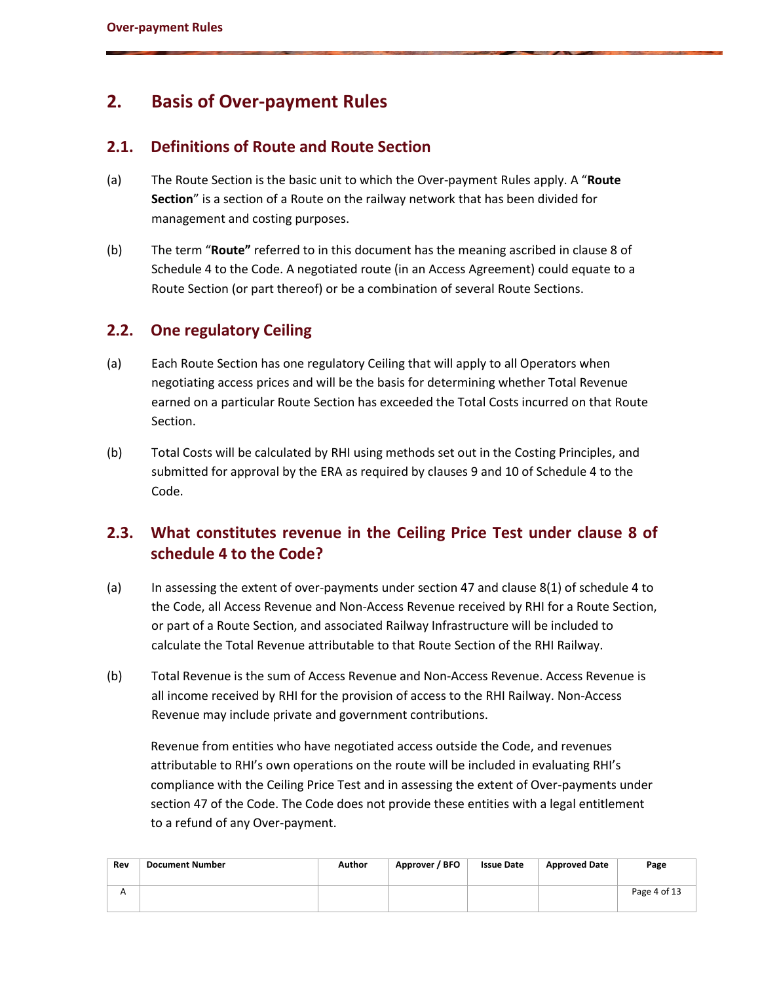# **2. Basis of Over-payment Rules**

#### <span id="page-3-0"></span>**2.1. Definitions of Route and Route Section**

- (a) The Route Section is the basic unit to which the Over-payment Rules apply. A "**Route Section**" is a section of a Route on the railway network that has been divided for management and costing purposes.
- (b) The term "**Route"** referred to in this document has the meaning ascribed in clause 8 of Schedule 4 to the Code. A negotiated route (in an Access Agreement) could equate to a Route Section (or part thereof) or be a combination of several Route Sections.

### **2.2. One regulatory Ceiling**

- (a) Each Route Section has one regulatory Ceiling that will apply to all Operators when negotiating access prices and will be the basis for determining whether Total Revenue earned on a particular Route Section has exceeded the Total Costs incurred on that Route Section.
- (b) Total Costs will be calculated by RHI using methods set out in the Costing Principles, and submitted for approval by the ERA as required by clauses 9 and 10 of Schedule 4 to the Code.

## **2.3. What constitutes revenue in the Ceiling Price Test under clause 8 of schedule 4 to the Code?**

- (a) In assessing the extent of over-payments under section 47 and clause 8(1) of schedule 4 to the Code, all Access Revenue and Non-Access Revenue received by RHI for a Route Section, or part of a Route Section, and associated Railway Infrastructure will be included to calculate the Total Revenue attributable to that Route Section of the RHI Railway.
- (b) Total Revenue is the sum of Access Revenue and Non-Access Revenue. Access Revenue is all income received by RHI for the provision of access to the RHI Railway. Non-Access Revenue may include private and government contributions.

Revenue from entities who have negotiated access outside the Code, and revenues attributable to RHI's own operations on the route will be included in evaluating RHI's compliance with the Ceiling Price Test and in assessing the extent of Over-payments under section 47 of the Code. The Code does not provide these entities with a legal entitlement to a refund of any Over-payment.

| Rev | Document Number | Author | Approver / BFO | <b>Issue Date</b> | <b>Approved Date</b> | Page         |
|-----|-----------------|--------|----------------|-------------------|----------------------|--------------|
| A   |                 |        |                |                   |                      | Page 4 of 13 |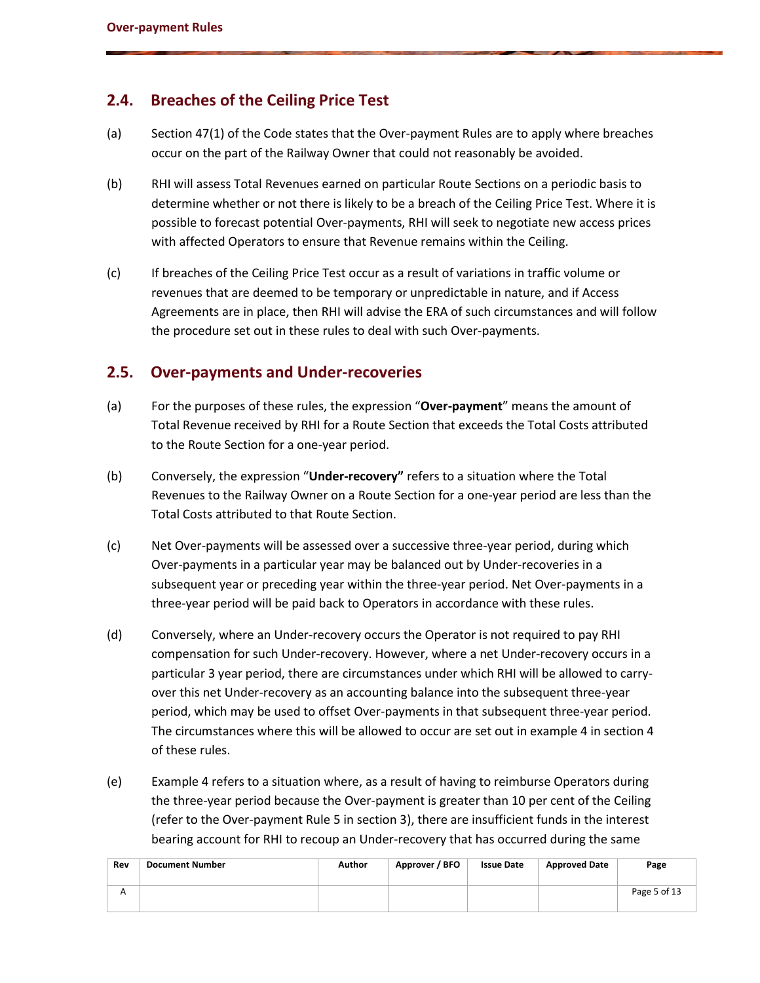#### **2.4. Breaches of the Ceiling Price Test**

- (a) Section 47(1) of the Code states that the Over-payment Rules are to apply where breaches occur on the part of the Railway Owner that could not reasonably be avoided.
- (b) RHI will assess Total Revenues earned on particular Route Sections on a periodic basis to determine whether or not there is likely to be a breach of the Ceiling Price Test. Where it is possible to forecast potential Over-payments, RHI will seek to negotiate new access prices with affected Operators to ensure that Revenue remains within the Ceiling.
- (c) If breaches of the Ceiling Price Test occur as a result of variations in traffic volume or revenues that are deemed to be temporary or unpredictable in nature, and if Access Agreements are in place, then RHI will advise the ERA of such circumstances and will follow the procedure set out in these rules to deal with such Over-payments.

#### <span id="page-4-0"></span>**2.5. Over-payments and Under-recoveries**

- (a) For the purposes of these rules, the expression "**Over-payment**" means the amount of Total Revenue received by RHI for a Route Section that exceeds the Total Costs attributed to the Route Section for a one-year period.
- (b) Conversely, the expression "**Under-recovery"** refers to a situation where the Total Revenues to the Railway Owner on a Route Section for a one-year period are less than the Total Costs attributed to that Route Section.
- (c) Net Over-payments will be assessed over a successive three-year period, during which Over-payments in a particular year may be balanced out by Under-recoveries in a subsequent year or preceding year within the three-year period. Net Over-payments in a three-year period will be paid back to Operators in accordance with these rules.
- (d) Conversely, where an Under-recovery occurs the Operator is not required to pay RHI compensation for such Under-recovery. However, where a net Under-recovery occurs in a particular 3 year period, there are circumstances under which RHI will be allowed to carryover this net Under-recovery as an accounting balance into the subsequent three-year period, which may be used to offset Over-payments in that subsequent three-year period. The circumstances where this will be allowed to occur are set out in example 4 in section 4 of these rules.
- (e) Example 4 refers to a situation where, as a result of having to reimburse Operators during the three-year period because the Over-payment is greater than 10 per cent of the Ceiling (refer to the Over-payment Rule 5 in section 3), there are insufficient funds in the interest bearing account for RHI to recoup an Under-recovery that has occurred during the same

| Rev | <b>Document Number</b> | Author | Approver / BFO | <b>Issue Date</b> | <b>Approved Date</b> | Page         |
|-----|------------------------|--------|----------------|-------------------|----------------------|--------------|
| А   |                        |        |                |                   |                      | Page 5 of 13 |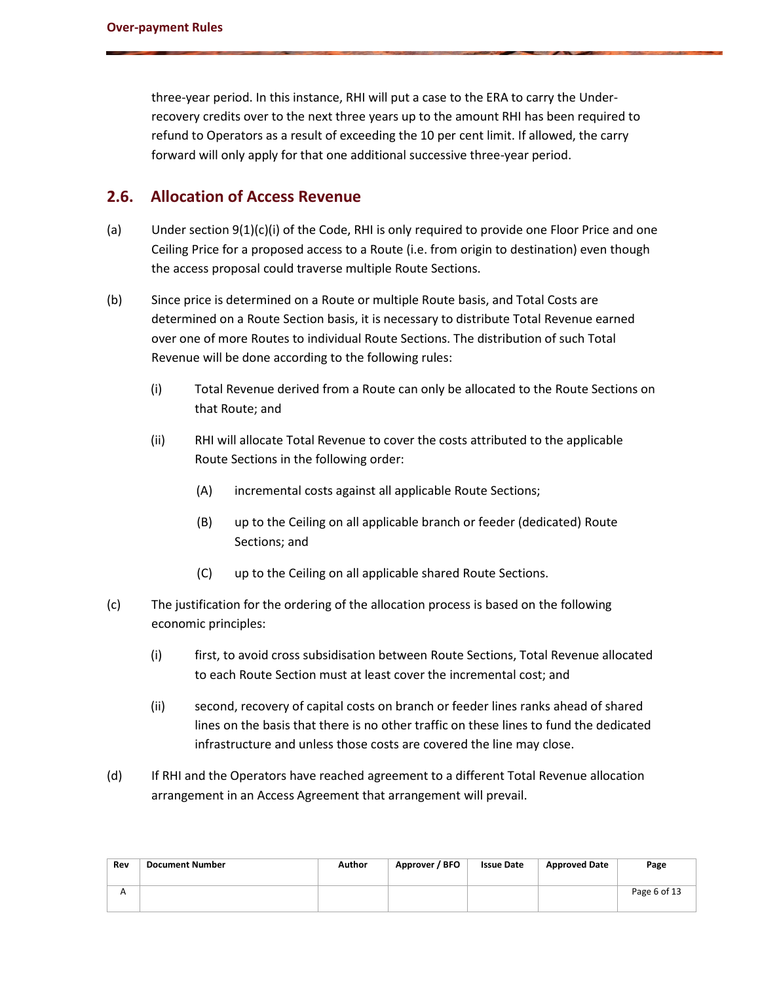three-year period. In this instance, RHI will put a case to the ERA to carry the Underrecovery credits over to the next three years up to the amount RHI has been required to refund to Operators as a result of exceeding the 10 per cent limit. If allowed, the carry forward will only apply for that one additional successive three-year period.

#### **2.6. Allocation of Access Revenue**

- (a) Under section 9(1)(c)(i) of the Code, RHI is only required to provide one Floor Price and one Ceiling Price for a proposed access to a Route (i.e. from origin to destination) even though the access proposal could traverse multiple Route Sections.
- (b) Since price is determined on a Route or multiple Route basis, and Total Costs are determined on a Route Section basis, it is necessary to distribute Total Revenue earned over one of more Routes to individual Route Sections. The distribution of such Total Revenue will be done according to the following rules:
	- (i) Total Revenue derived from a Route can only be allocated to the Route Sections on that Route; and
	- (ii) RHI will allocate Total Revenue to cover the costs attributed to the applicable Route Sections in the following order:
		- (A) incremental costs against all applicable Route Sections;
		- (B) up to the Ceiling on all applicable branch or feeder (dedicated) Route Sections; and
		- (C) up to the Ceiling on all applicable shared Route Sections.
- (c) The justification for the ordering of the allocation process is based on the following economic principles:
	- (i) first, to avoid cross subsidisation between Route Sections, Total Revenue allocated to each Route Section must at least cover the incremental cost; and
	- (ii) second, recovery of capital costs on branch or feeder lines ranks ahead of shared lines on the basis that there is no other traffic on these lines to fund the dedicated infrastructure and unless those costs are covered the line may close.
- (d) If RHI and the Operators have reached agreement to a different Total Revenue allocation arrangement in an Access Agreement that arrangement will prevail.

| Rev | <b>Document Number</b> | Author | Approver / BFO | <b>Issue Date</b> | <b>Approved Date</b> | Page         |
|-----|------------------------|--------|----------------|-------------------|----------------------|--------------|
| А   |                        |        |                |                   |                      | Page 6 of 13 |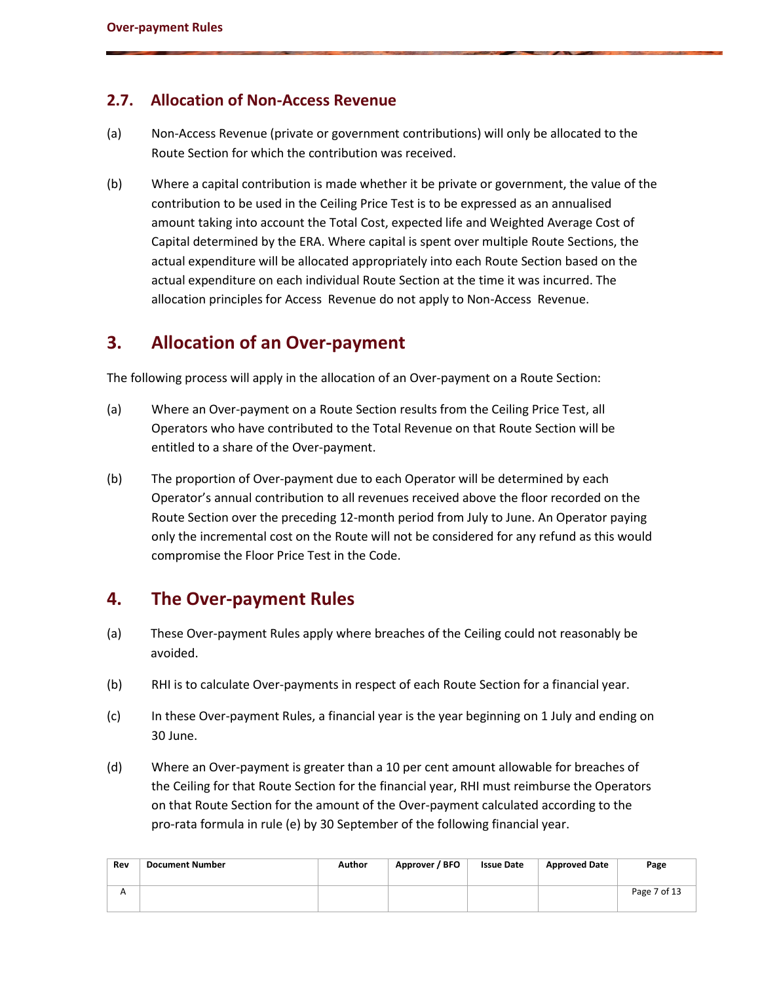### **2.7. Allocation of Non-Access Revenue**

- (a) Non-Access Revenue (private or government contributions) will only be allocated to the Route Section for which the contribution was received.
- (b) Where a capital contribution is made whether it be private or government, the value of the contribution to be used in the Ceiling Price Test is to be expressed as an annualised amount taking into account the Total Cost, expected life and Weighted Average Cost of Capital determined by the ERA. Where capital is spent over multiple Route Sections, the actual expenditure will be allocated appropriately into each Route Section based on the actual expenditure on each individual Route Section at the time it was incurred. The allocation principles for Access Revenue do not apply to Non-Access Revenue.

# **3. Allocation of an Over-payment**

The following process will apply in the allocation of an Over-payment on a Route Section:

- (a) Where an Over-payment on a Route Section results from the Ceiling Price Test, all Operators who have contributed to the Total Revenue on that Route Section will be entitled to a share of the Over-payment.
- (b) The proportion of Over-payment due to each Operator will be determined by each Operator's annual contribution to all revenues received above the floor recorded on the Route Section over the preceding 12-month period from July to June. An Operator paying only the incremental cost on the Route will not be considered for any refund as this would compromise the Floor Price Test in the Code.

## **4. The Over-payment Rules**

- (a) These Over-payment Rules apply where breaches of the Ceiling could not reasonably be avoided.
- (b) RHI is to calculate Over-payments in respect of each Route Section for a financial year.
- (c) In these Over-payment Rules, a financial year is the year beginning on 1 July and ending on 30 June.
- (d) Where an Over-payment is greater than a 10 per cent amount allowable for breaches of the Ceiling for that Route Section for the financial year, RHI must reimburse the Operators on that Route Section for the amount of the Over-payment calculated according to the pro-rata formula in rule (e) by 30 September of the following financial year.

| Rev | <b>Document Number</b> | Author | Approver / BFO | <b>Issue Date</b> | <b>Approved Date</b> | Page         |
|-----|------------------------|--------|----------------|-------------------|----------------------|--------------|
|     |                        |        |                |                   |                      | Page 7 of 13 |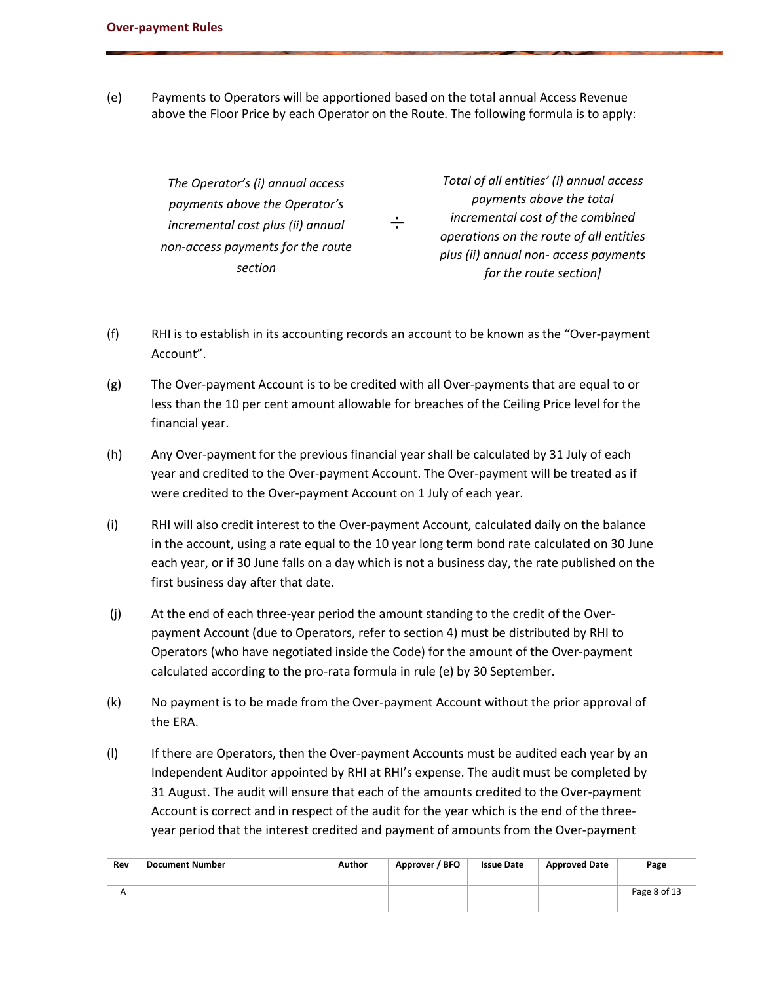(e) Payments to Operators will be apportioned based on the total annual Access Revenue above the Floor Price by each Operator on the Route. The following formula is to apply:

> *The Operator's (i) annual access payments above the Operator's incremental cost plus (ii) annual non-access payments for the route section*

*÷ Total of all entities' (i) annual access payments above the total incremental cost of the combined operations on the route of all entities plus (ii) annual non- access payments for the route section]*

- (f) RHI is to establish in its accounting records an account to be known as the "Over-payment Account".
- (g) The Over-payment Account is to be credited with all Over-payments that are equal to or less than the 10 per cent amount allowable for breaches of the Ceiling Price level for the financial year.
- (h) Any Over-payment for the previous financial year shall be calculated by 31 July of each year and credited to the Over-payment Account. The Over-payment will be treated as if were credited to the Over-payment Account on 1 July of each year.
- (i) RHI will also credit interest to the Over-payment Account, calculated daily on the balance in the account, using a rate equal to the 10 year long term bond rate calculated on 30 June each year, or if 30 June falls on a day which is not a business day, the rate published on the first business day after that date.
- (j) At the end of each three-year period the amount standing to the credit of the Overpayment Account (due to Operators, refer to section 4) must be distributed by RHI to Operators (who have negotiated inside the Code) for the amount of the Over-payment calculated according to the pro-rata formula in rule (e) by 30 September.
- (k) No payment is to be made from the Over-payment Account without the prior approval of the ERA.
- (l) If there are Operators, then the Over-payment Accounts must be audited each year by an Independent Auditor appointed by RHI at RHI's expense. The audit must be completed by 31 August. The audit will ensure that each of the amounts credited to the Over-payment Account is correct and in respect of the audit for the year which is the end of the threeyear period that the interest credited and payment of amounts from the Over-payment

| Rev | <b>Document Number</b> | Author | Approver / BFO | <b>Issue Date</b> | <b>Approved Date</b> | Page         |
|-----|------------------------|--------|----------------|-------------------|----------------------|--------------|
| А   |                        |        |                |                   |                      | Page 8 of 13 |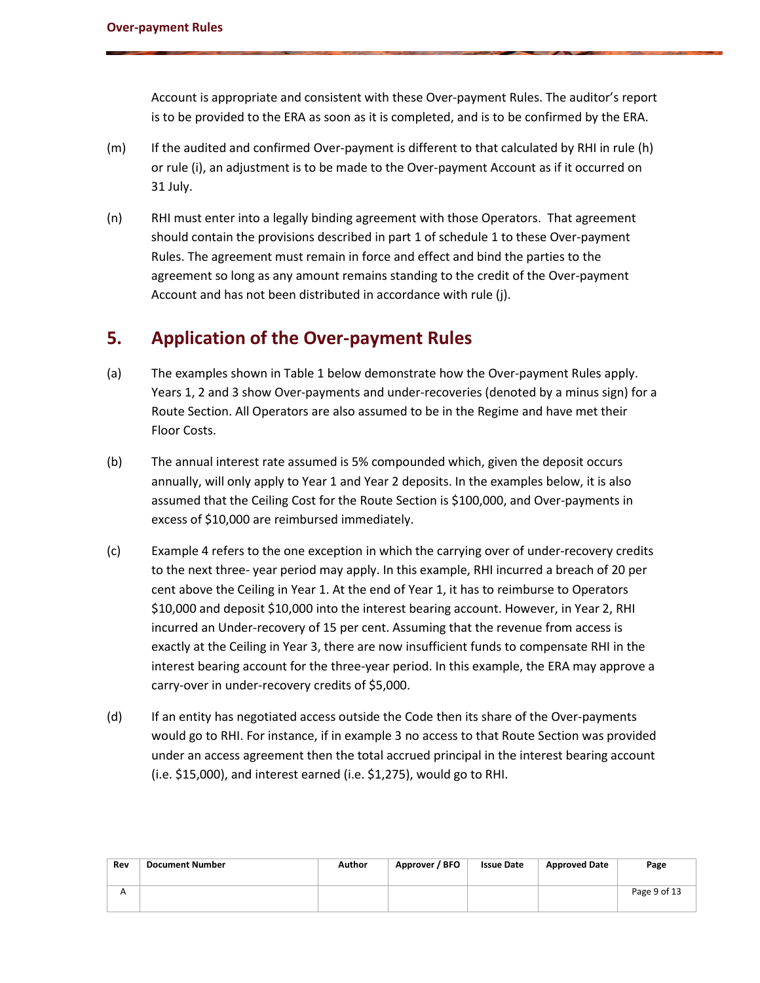Account is appropriate and consistent with these Over-payment Rules. The auditor's report is to be provided to the ERA as soon as it is completed, and is to be confirmed by the ERA.

- (m) If the audited and confirmed Over-payment is different to that calculated by RHI in rule (h) or rule (i), an adjustment is to be made to the Over-payment Account as if it occurred on 31 July.
- (n) RHI must enter into a legally binding agreement with those Operators. That agreement should contain the provisions described in part 1 of schedule 1 to these Over-payment Rules. The agreement must remain in force and effect and bind the parties to the agreement so long as any amount remains standing to the credit of the Over-payment Account and has not been distributed in accordance with rule (j).

## **5. Application of the Over-payment Rules**

- (a) The examples shown in Table 1 below demonstrate how the Over-payment Rules apply. Years 1, 2 and 3 show Over-payments and under-recoveries (denoted by a minus sign) for a Route Section. All Operators are also assumed to be in the Regime and have met their Floor Costs.
- (b) The annual interest rate assumed is 5% compounded which, given the deposit occurs annually, will only apply to Year 1 and Year 2 deposits. In the examples below, it is also assumed that the Ceiling Cost for the Route Section is \$100,000, and Over-payments in excess of \$10,000 are reimbursed immediately.
- (c) Example 4 refers to the one exception in which the carrying over of under-recovery credits to the next three- year period may apply. In this example, RHI incurred a breach of 20 per cent above the Ceiling in Year 1. At the end of Year 1, it has to reimburse to Operators \$10,000 and deposit \$10,000 into the interest bearing account. However, in Year 2, RHI incurred an Under-recovery of 15 per cent. Assuming that the revenue from access is exactly at the Ceiling in Year 3, there are now insufficient funds to compensate RHI in the interest bearing account for the three-year period. In this example, the ERA may approve a carry-over in under-recovery credits of \$5,000.
- (d) If an entity has negotiated access outside the Code then its share of the Over-payments would go to RHI. For instance, if in example 3 no access to that Route Section was provided under an access agreement then the total accrued principal in the interest bearing account (i.e. \$15,000), and interest earned (i.e. \$1,275), would go to RHI.

| Rev | <b>Document Number</b> | Author | Approver / BFO | <b>Issue Date</b> | <b>Approved Date</b> | Page         |
|-----|------------------------|--------|----------------|-------------------|----------------------|--------------|
|     |                        |        |                |                   |                      | Page 9 of 13 |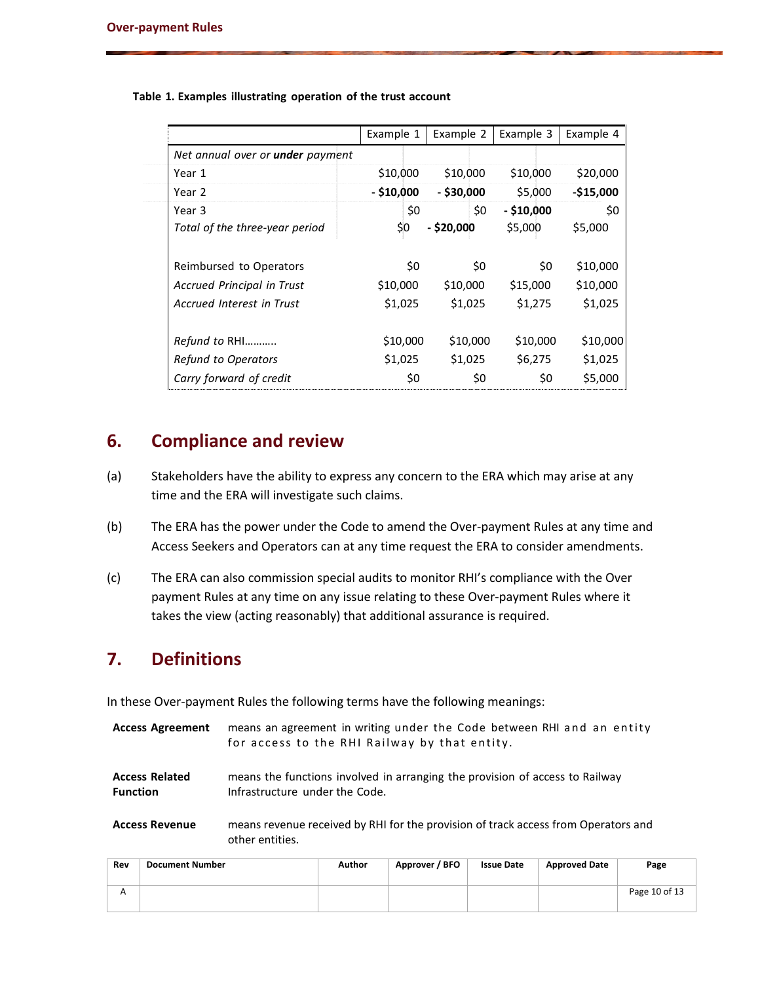|                                  | Example 1    | Example 2    | Example 3   | Example 4  |
|----------------------------------|--------------|--------------|-------------|------------|
| Net annual over or under payment |              |              |             |            |
| Year 1                           | \$10,000     | \$10,000     | \$10,000    | \$20,000   |
| Year 2                           | $-$ \$10,000 | $-$ \$30,000 | \$5,000     | $-$15,000$ |
| Year 3                           | \$0          | \$0          | $- $10,000$ | \$0        |
| Total of the three-year period   | \$0          | $-$ \$20,000 | \$5,000     | \$5,000    |
| Reimbursed to Operators          | \$0          | \$0          | \$0         | \$10,000   |
| Accrued Principal in Trust       | \$10,000     | \$10,000     | \$15,000    | \$10,000   |
| Accrued Interest in Trust        | \$1,025      | \$1,025      | \$1,275     | \$1,025    |
| Refund to RHI                    | \$10,000     | \$10,000     | \$10,000    | \$10,000   |
| <b>Refund to Operators</b>       | \$1,025      | \$1,025      | \$6,275     | \$1,025    |
| Carry forward of credit          | \$0          | \$0          | \$0         | \$5,000    |

#### **Table 1. Examples illustrating operation of the trust account**

## **6. Compliance and review**

- (a) Stakeholders have the ability to express any concern to the ERA which may arise at any time and the ERA will investigate such claims.
- (b) The ERA has the power under the Code to amend the Over-payment Rules at any time and Access Seekers and Operators can at any time request the ERA to consider amendments.
- (c) The ERA can also commission special audits to monitor RHI's compliance with the Over payment Rules at any time on any issue relating to these Over-payment Rules where it takes the view (acting reasonably) that additional assurance is required.

# **7. Definitions**

In these Over-payment Rules the following terms have the following meanings:

- Access Agreement means an agreement in writing under the Code between RHI and an entity for access to the RHI Railway by that entity.
- **Access Related Function** means the functions involved in arranging the provision of access to Railway Infrastructure under the Code.
- **Access Revenue** means revenue received by RHI for the provision of track access from Operators and other entities.

| Rev                     | <b>Document Number</b> | Author | Approver / BFO | <b>Issue Date</b> | <b>Approved Date</b> | Page          |
|-------------------------|------------------------|--------|----------------|-------------------|----------------------|---------------|
| $\overline{\mathsf{A}}$ |                        |        |                |                   |                      | Page 10 of 13 |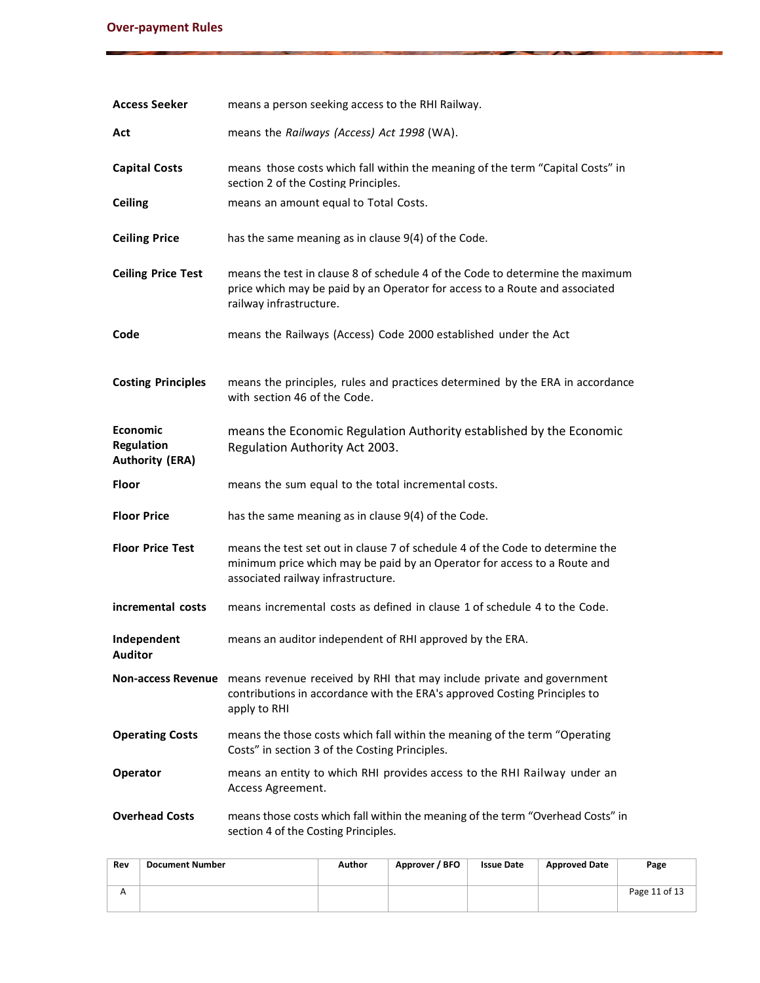| <b>Access Seeker</b>                                           | means a person seeking access to the RHI Railway.                                                                                                                                               |
|----------------------------------------------------------------|-------------------------------------------------------------------------------------------------------------------------------------------------------------------------------------------------|
| Act                                                            | means the Railways (Access) Act 1998 (WA).                                                                                                                                                      |
| <b>Capital Costs</b>                                           | means those costs which fall within the meaning of the term "Capital Costs" in<br>section 2 of the Costing Principles.                                                                          |
| <b>Ceiling</b>                                                 | means an amount equal to Total Costs.                                                                                                                                                           |
| <b>Ceiling Price</b>                                           | has the same meaning as in clause 9(4) of the Code.                                                                                                                                             |
| <b>Ceiling Price Test</b>                                      | means the test in clause 8 of schedule 4 of the Code to determine the maximum<br>price which may be paid by an Operator for access to a Route and associated<br>railway infrastructure.         |
| Code                                                           | means the Railways (Access) Code 2000 established under the Act                                                                                                                                 |
| <b>Costing Principles</b>                                      | means the principles, rules and practices determined by the ERA in accordance<br>with section 46 of the Code.                                                                                   |
| <b>Economic</b><br><b>Regulation</b><br><b>Authority (ERA)</b> | means the Economic Regulation Authority established by the Economic<br>Regulation Authority Act 2003.                                                                                           |
| Floor                                                          | means the sum equal to the total incremental costs.                                                                                                                                             |
| <b>Floor Price</b>                                             | has the same meaning as in clause 9(4) of the Code.                                                                                                                                             |
| <b>Floor Price Test</b>                                        | means the test set out in clause 7 of schedule 4 of the Code to determine the<br>minimum price which may be paid by an Operator for access to a Route and<br>associated railway infrastructure. |
| incremental costs                                              | means incremental costs as defined in clause 1 of schedule 4 to the Code.                                                                                                                       |
| Independent<br>Auditor                                         | means an auditor independent of RHI approved by the ERA.                                                                                                                                        |
|                                                                | Non-access Revenue means revenue received by RHI that may include private and government<br>contributions in accordance with the ERA's approved Costing Principles to<br>apply to RHI           |
| <b>Operating Costs</b>                                         | means the those costs which fall within the meaning of the term "Operating<br>Costs" in section 3 of the Costing Principles.                                                                    |
| Operator                                                       | means an entity to which RHI provides access to the RHI Railway under an<br>Access Agreement.                                                                                                   |
| <b>Overhead Costs</b>                                          | means those costs which fall within the meaning of the term "Overhead Costs" in<br>section 4 of the Costing Principles.                                                                         |

| Rev | <b>Document Number</b> | Author | Approver / BFO | <b>Issue Date</b> | <b>Approved Date</b> | Page          |
|-----|------------------------|--------|----------------|-------------------|----------------------|---------------|
| А   |                        |        |                |                   |                      | Page 11 of 13 |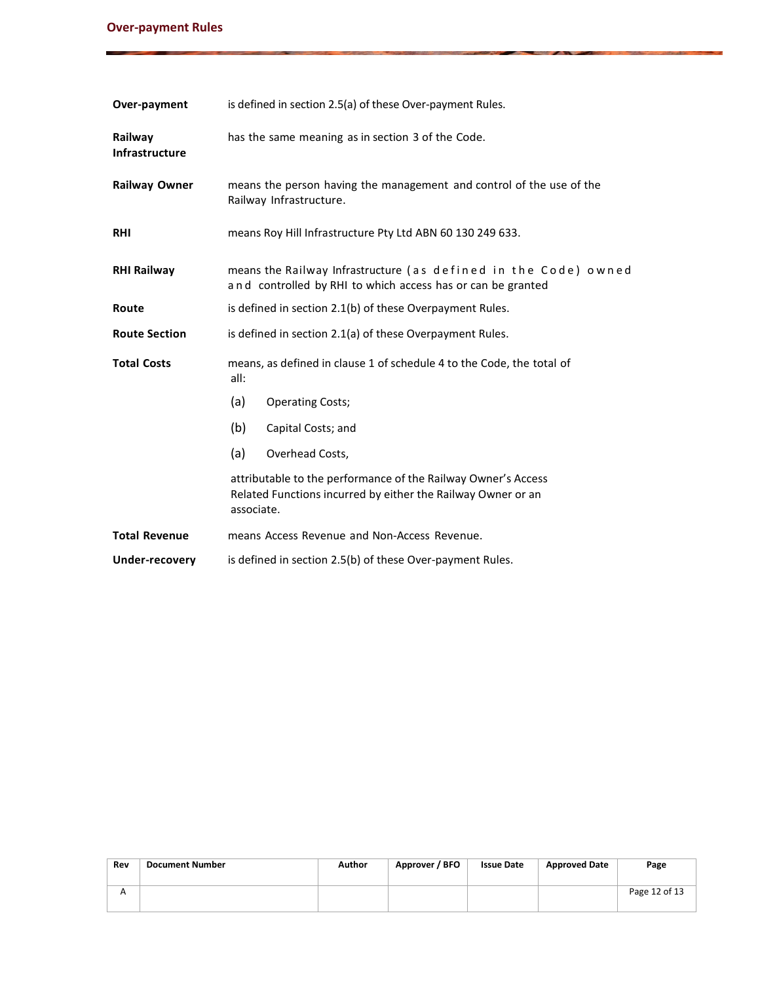#### **Over-payment Rules**

| Over-payment                     | is defined in section 2.5(a) of these Over-payment Rules.                                                                                   |  |  |  |  |  |  |
|----------------------------------|---------------------------------------------------------------------------------------------------------------------------------------------|--|--|--|--|--|--|
| Railway<br><b>Infrastructure</b> | has the same meaning as in section 3 of the Code.                                                                                           |  |  |  |  |  |  |
| <b>Railway Owner</b>             | means the person having the management and control of the use of the<br>Railway Infrastructure.                                             |  |  |  |  |  |  |
| <b>RHI</b>                       | means Roy Hill Infrastructure Pty Ltd ABN 60 130 249 633.                                                                                   |  |  |  |  |  |  |
| <b>RHI Railway</b>               | means the Railway Infrastructure (as defined in the Code) owned<br>and controlled by RHI to which access has or can be granted              |  |  |  |  |  |  |
| Route                            | is defined in section 2.1(b) of these Overpayment Rules.                                                                                    |  |  |  |  |  |  |
| <b>Route Section</b>             | is defined in section 2.1(a) of these Overpayment Rules.                                                                                    |  |  |  |  |  |  |
| <b>Total Costs</b>               | means, as defined in clause 1 of schedule 4 to the Code, the total of<br>all:                                                               |  |  |  |  |  |  |
|                                  | (a)<br><b>Operating Costs;</b>                                                                                                              |  |  |  |  |  |  |
|                                  | (b)<br>Capital Costs; and                                                                                                                   |  |  |  |  |  |  |
|                                  | (a)<br>Overhead Costs,                                                                                                                      |  |  |  |  |  |  |
|                                  | attributable to the performance of the Railway Owner's Access<br>Related Functions incurred by either the Railway Owner or an<br>associate. |  |  |  |  |  |  |
| <b>Total Revenue</b>             | means Access Revenue and Non-Access Revenue.                                                                                                |  |  |  |  |  |  |
| Under-recovery                   | is defined in section 2.5(b) of these Over-payment Rules.                                                                                   |  |  |  |  |  |  |

| Rev | <b>Document Number</b> | Author | Approver / BFO | <b>Issue Date</b> | <b>Approved Date</b> | Page          |
|-----|------------------------|--------|----------------|-------------------|----------------------|---------------|
| А   |                        |        |                |                   |                      | Page 12 of 13 |